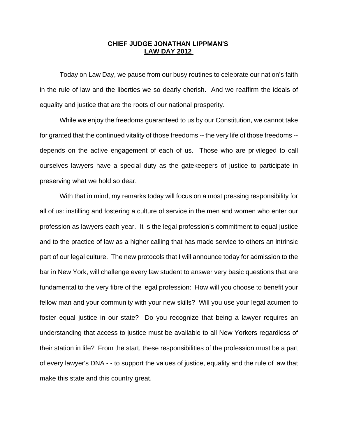## **CHIEF JUDGE JONATHAN LIPPMAN'S LAW DAY 2012**

Today on Law Day, we pause from our busy routines to celebrate our nation's faith in the rule of law and the liberties we so dearly cherish. And we reaffirm the ideals of equality and justice that are the roots of our national prosperity.

While we enjoy the freedoms guaranteed to us by our Constitution, we cannot take for granted that the continued vitality of those freedoms -- the very life of those freedoms - depends on the active engagement of each of us. Those who are privileged to call ourselves lawyers have a special duty as the gatekeepers of justice to participate in preserving what we hold so dear.

With that in mind, my remarks today will focus on a most pressing responsibility for all of us: instilling and fostering a culture of service in the men and women who enter our profession as lawyers each year. It is the legal profession's commitment to equal justice and to the practice of law as a higher calling that has made service to others an intrinsic part of our legal culture. The new protocols that I will announce today for admission to the bar in New York, will challenge every law student to answer very basic questions that are fundamental to the very fibre of the legal profession: How will you choose to benefit your fellow man and your community with your new skills? Will you use your legal acumen to foster equal justice in our state? Do you recognize that being a lawyer requires an understanding that access to justice must be available to all New Yorkers regardless of their station in life? From the start, these responsibilities of the profession must be a part of every lawyer's DNA - - to support the values of justice, equality and the rule of law that make this state and this country great.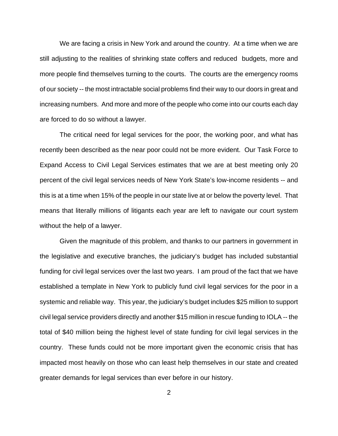We are facing a crisis in New York and around the country. At a time when we are still adjusting to the realities of shrinking state coffers and reduced budgets, more and more people find themselves turning to the courts. The courts are the emergency rooms of our society -- the most intractable social problems find their way to our doors in great and increasing numbers. And more and more of the people who come into our courts each day are forced to do so without a lawyer.

The critical need for legal services for the poor, the working poor, and what has recently been described as the near poor could not be more evident. Our Task Force to Expand Access to Civil Legal Services estimates that we are at best meeting only 20 percent of the civil legal services needs of New York State's low-income residents -- and this is at a time when 15% of the people in our state live at or below the poverty level. That means that literally millions of litigants each year are left to navigate our court system without the help of a lawyer.

Given the magnitude of this problem, and thanks to our partners in government in the legislative and executive branches, the judiciary's budget has included substantial funding for civil legal services over the last two years. I am proud of the fact that we have established a template in New York to publicly fund civil legal services for the poor in a systemic and reliable way. This year, the judiciary's budget includes \$25 million to support civil legal service providers directly and another \$15 million in rescue funding to IOLA -- the total of \$40 million being the highest level of state funding for civil legal services in the country. These funds could not be more important given the economic crisis that has impacted most heavily on those who can least help themselves in our state and created greater demands for legal services than ever before in our history.

2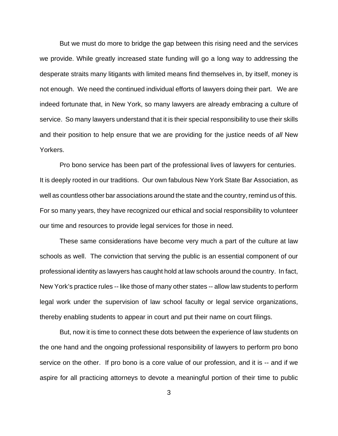But we must do more to bridge the gap between this rising need and the services we provide. While greatly increased state funding will go a long way to addressing the desperate straits many litigants with limited means find themselves in, by itself, money is not enough. We need the continued individual efforts of lawyers doing their part. We are indeed fortunate that, in New York, so many lawyers are already embracing a culture of service. So many lawyers understand that it is their special responsibility to use their skills and their position to help ensure that we are providing for the justice needs of *all* New Yorkers.

Pro bono service has been part of the professional lives of lawyers for centuries. It is deeply rooted in our traditions. Our own fabulous New York State Bar Association, as well as countless other bar associations around the state and the country, remind us of this. For so many years, they have recognized our ethical and social responsibility to volunteer our time and resources to provide legal services for those in need.

These same considerations have become very much a part of the culture at law schools as well. The conviction that serving the public is an essential component of our professional identity as lawyers has caught hold at law schools around the country. In fact, New York's practice rules -- like those of many other states -- allow law students to perform legal work under the supervision of law school faculty or legal service organizations, thereby enabling students to appear in court and put their name on court filings.

But, now it is time to connect these dots between the experience of law students on the one hand and the ongoing professional responsibility of lawyers to perform pro bono service on the other. If pro bono is a core value of our profession, and it is -- and if we aspire for all practicing attorneys to devote a meaningful portion of their time to public

3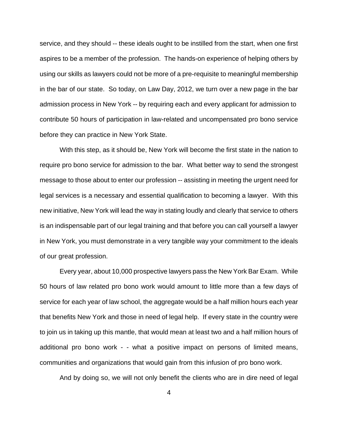service, and they should -- these ideals ought to be instilled from the start, when one first aspires to be a member of the profession. The hands-on experience of helping others by using our skills as lawyers could not be more of a pre-requisite to meaningful membership in the bar of our state. So today, on Law Day, 2012, we turn over a new page in the bar admission process in New York -- by requiring each and every applicant for admission to contribute 50 hours of participation in law-related and uncompensated pro bono service before they can practice in New York State.

With this step, as it should be, New York will become the first state in the nation to require pro bono service for admission to the bar. What better way to send the strongest message to those about to enter our profession -- assisting in meeting the urgent need for legal services is a necessary and essential qualification to becoming a lawyer. With this new initiative, New York will lead the way in stating loudly and clearly that service to others is an indispensable part of our legal training and that before you can call yourself a lawyer in New York, you must demonstrate in a very tangible way your commitment to the ideals of our great profession.

Every year, about 10,000 prospective lawyers pass the New York Bar Exam. While 50 hours of law related pro bono work would amount to little more than a few days of service for each year of law school, the aggregate would be a half million hours each year that benefits New York and those in need of legal help. If every state in the country were to join us in taking up this mantle, that would mean at least two and a half million hours of additional pro bono work - - what a positive impact on persons of limited means, communities and organizations that would gain from this infusion of pro bono work.

And by doing so, we will not only benefit the clients who are in dire need of legal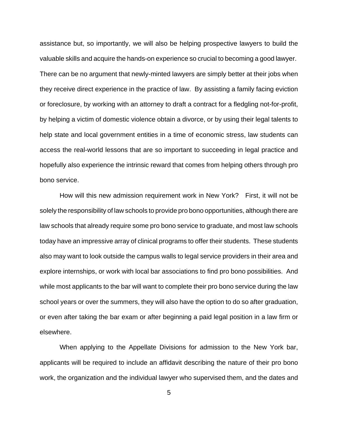assistance but, so importantly, we will also be helping prospective lawyers to build the valuable skills and acquire the hands-on experience so crucial to becoming a good lawyer. There can be no argument that newly-minted lawyers are simply better at their jobs when they receive direct experience in the practice of law. By assisting a family facing eviction or foreclosure, by working with an attorney to draft a contract for a fledgling not-for-profit, by helping a victim of domestic violence obtain a divorce, or by using their legal talents to help state and local government entities in a time of economic stress, law students can access the real-world lessons that are so important to succeeding in legal practice and hopefully also experience the intrinsic reward that comes from helping others through pro bono service.

How will this new admission requirement work in New York? First, it will not be solely the responsibility of law schools to provide pro bono opportunities, although there are law schools that already require some pro bono service to graduate, and most law schools today have an impressive array of clinical programs to offer their students. These students also may want to look outside the campus walls to legal service providers in their area and explore internships, or work with local bar associations to find pro bono possibilities. And while most applicants to the bar will want to complete their pro bono service during the law school years or over the summers, they will also have the option to do so after graduation, or even after taking the bar exam or after beginning a paid legal position in a law firm or elsewhere.

When applying to the Appellate Divisions for admission to the New York bar, applicants will be required to include an affidavit describing the nature of their pro bono work, the organization and the individual lawyer who supervised them, and the dates and

5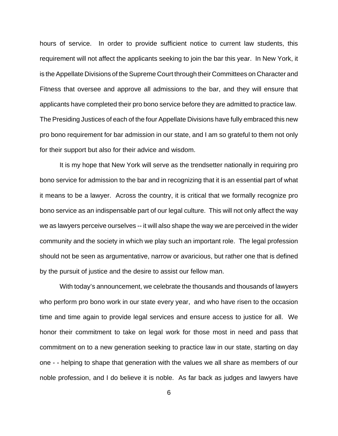hours of service. In order to provide sufficient notice to current law students, this requirement will not affect the applicants seeking to join the bar this year. In New York, it is the Appellate Divisions of the Supreme Court through their Committees on Character and Fitness that oversee and approve all admissions to the bar, and they will ensure that applicants have completed their pro bono service before they are admitted to practice law. The Presiding Justices of each of the four Appellate Divisions have fully embraced this new pro bono requirement for bar admission in our state, and I am so grateful to them not only for their support but also for their advice and wisdom.

It is my hope that New York will serve as the trendsetter nationally in requiring pro bono service for admission to the bar and in recognizing that it is an essential part of what it means to be a lawyer. Across the country, it is critical that we formally recognize pro bono service as an indispensable part of our legal culture. This will not only affect the way we as lawyers perceive ourselves -- it will also shape the way we are perceived in the wider community and the society in which we play such an important role. The legal profession should not be seen as argumentative, narrow or avaricious, but rather one that is defined by the pursuit of justice and the desire to assist our fellow man.

With today's announcement, we celebrate the thousands and thousands of lawyers who perform pro bono work in our state every year, and who have risen to the occasion time and time again to provide legal services and ensure access to justice for all. We honor their commitment to take on legal work for those most in need and pass that commitment on to a new generation seeking to practice law in our state, starting on day one - - helping to shape that generation with the values we all share as members of our noble profession, and I do believe it is noble. As far back as judges and lawyers have